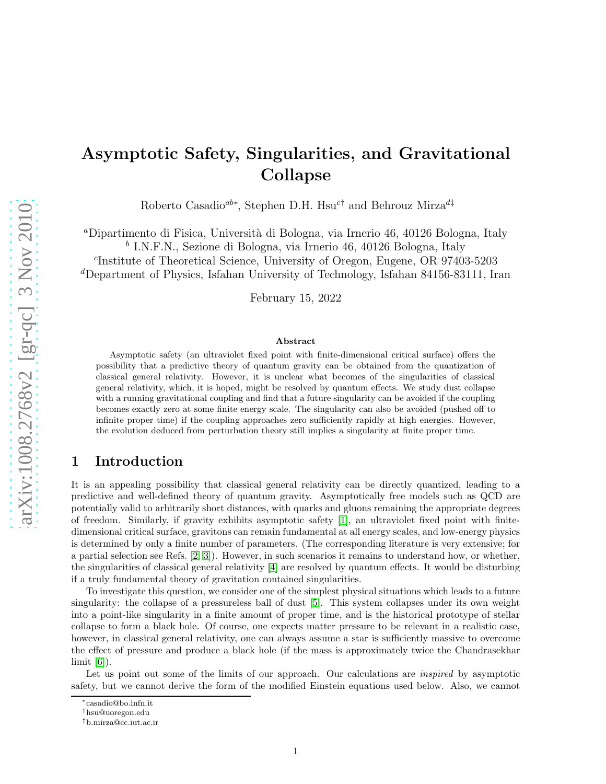# Asymptotic Safety, Singularities, and Gravitational Collapse

Roberto Casadio<sup>ab∗</sup>, Stephen D.H. Hsu<sup>c†</sup> and Behrouz Mirza<sup>d‡</sup>

 $a$ Dipartimento di Fisica, Università di Bologna, via Irnerio 46, 40126 Bologna, Italy

b I.N.F.N., Sezione di Bologna, via Irnerio 46, 40126 Bologna, Italy

c Institute of Theoretical Science, University of Oregon, Eugene, OR 97403-5203 <sup>d</sup>Department of Physics, Isfahan University of Technology, Isfahan 84156-83111, Iran

February 15, 2022

#### Abstract

Asymptotic safety (an ultraviolet fixed point with finite-dimensional critical surface) offers the possibility that a predictive theory of quantum gravity can be obtained from the quantization of classical general relativity. However, it is unclear what becomes of the singularities of classical general relativity, which, it is hoped, might be resolved by quantum effects. We study dust collapse with a running gravitational coupling and find that a future singularity can be avoided if the coupling becomes exactly zero at some finite energy scale. The singularity can also be avoided (pushed off to infinite proper time) if the coupling approaches zero sufficiently rapidly at high energies. However, the evolution deduced from perturbation theory still implies a singularity at finite proper time.

# 1 Introduction

It is an appealing possibility that classical general relativity can be directly quantized, leading to a predictive and well-defined theory of quantum gravity. Asymptotically free models such as QCD are potentially valid to arbitrarily short distances, with quarks and gluons remaining the appropriate degrees of freedom. Similarly, if gravity exhibits asymptotic safety [\[1\]](#page-4-0), an ultraviolet fixed point with finitedimensional critical surface, gravitons can remain fundamental at all energy scales, and low-energy physics is determined by only a finite number of parameters. (The corresponding literature is very extensive; for a partial selection see Refs. [\[2,](#page-4-1) [3\]](#page-4-2)). However, in such scenarios it remains to understand how, or whether, the singularities of classical general relativity [\[4\]](#page-4-3) are resolved by quantum effects. It would be disturbing if a truly fundamental theory of gravitation contained singularities.

To investigate this question, we consider one of the simplest physical situations which leads to a future singularity: the collapse of a pressureless ball of dust [\[5\]](#page-5-0). This system collapses under its own weight into a point-like singularity in a finite amount of proper time, and is the historical prototype of stellar collapse to form a black hole. Of course, one expects matter pressure to be relevant in a realistic case, however, in classical general relativity, one can always assume a star is sufficiently massive to overcome the effect of pressure and produce a black hole (if the mass is approximately twice the Chandrasekhar  $\lim$ it  $[6]$ ).

Let us point out some of the limits of our approach. Our calculations are *inspired* by asymptotic safety, but we cannot derive the form of the modified Einstein equations used below. Also, we cannot

<sup>∗</sup> casadio@bo.infn.it

<sup>†</sup>hsu@uoregon.edu

<sup>‡</sup>b.mirza@cc.iut.ac.ir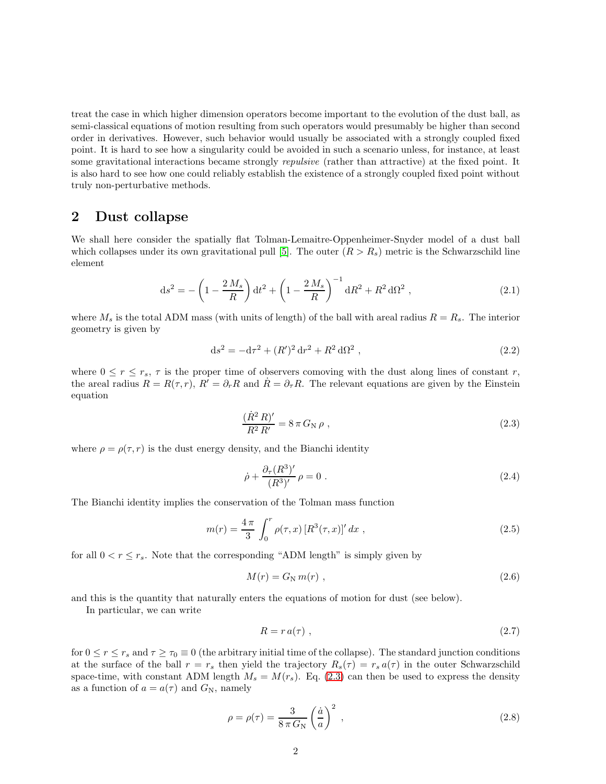treat the case in which higher dimension operators become important to the evolution of the dust ball, as semi-classical equations of motion resulting from such operators would presumably be higher than second order in derivatives. However, such behavior would usually be associated with a strongly coupled fixed point. It is hard to see how a singularity could be avoided in such a scenario unless, for instance, at least some gravitational interactions became strongly *repulsive* (rather than attractive) at the fixed point. It is also hard to see how one could reliably establish the existence of a strongly coupled fixed point without truly non-perturbative methods.

### 2 Dust collapse

We shall here consider the spatially flat Tolman-Lemaitre-Oppenheimer-Snyder model of a dust ball which collapses under its own gravitational pull [\[5\]](#page-5-0). The outer  $(R > R_s)$  metric is the Schwarzschild line element

$$
ds^{2} = -\left(1 - \frac{2M_{s}}{R}\right)dt^{2} + \left(1 - \frac{2M_{s}}{R}\right)^{-1}dR^{2} + R^{2}d\Omega^{2} , \qquad (2.1)
$$

where  $M_s$  is the total ADM mass (with units of length) of the ball with areal radius  $R = R_s$ . The interior geometry is given by

$$
ds^{2} = -d\tau^{2} + (R')^{2} dr^{2} + R^{2} d\Omega^{2} , \qquad (2.2)
$$

where  $0 \leq r \leq r_s$ ,  $\tau$  is the proper time of observers comoving with the dust along lines of constant r, the areal radius  $R = R(\tau, r)$ ,  $R' = \partial_r R$  and  $R = \partial_\tau R$ . The relevant equations are given by the Einstein equation

<span id="page-1-0"></span>
$$
\frac{(\dot{R}^2 R)'}{R^2 R'} = 8 \pi G_N \rho , \qquad (2.3)
$$

where  $\rho = \rho(\tau, r)$  is the dust energy density, and the Bianchi identity

<span id="page-1-1"></span>
$$
\dot{\rho} + \frac{\partial_{\tau}(R^3)'}{(R^3)'} \rho = 0 \tag{2.4}
$$

The Bianchi identity implies the conservation of the Tolman mass function

$$
m(r) = \frac{4\pi}{3} \int_0^r \rho(\tau, x) \left[ R^3(\tau, x) \right]' dx , \qquad (2.5)
$$

for all  $0 < r \leq r_s$ . Note that the corresponding "ADM length" is simply given by

$$
M(r) = GN m(r) , \qquad (2.6)
$$

and this is the quantity that naturally enters the equations of motion for dust (see below).

In particular, we can write

<span id="page-1-2"></span>
$$
R = r a(\tau) \tag{2.7}
$$

for  $0 \le r \le r_s$  and  $\tau \ge \tau_0 \equiv 0$  (the arbitrary initial time of the collapse). The standard junction conditions at the surface of the ball  $r = r_s$  then yield the trajectory  $R_s(\tau) = r_s a(\tau)$  in the outer Schwarzschild space-time, with constant ADM length  $M_s = M(r_s)$ . Eq. [\(2.3\)](#page-1-0) can then be used to express the density as a function of  $a = a(\tau)$  and  $G_N$ , namely

$$
\rho = \rho(\tau) = \frac{3}{8\pi G_{\rm N}} \left(\frac{\dot{a}}{a}\right)^2 \,,\tag{2.8}
$$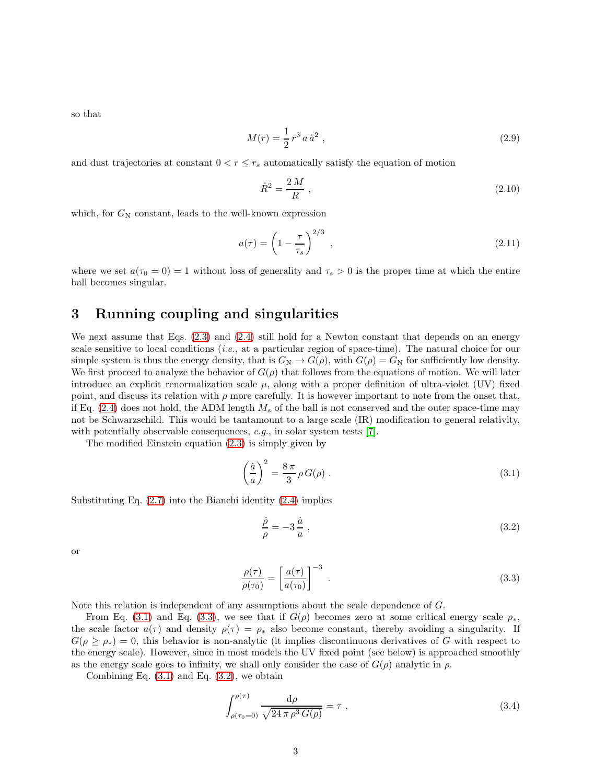so that

$$
M(r) = \frac{1}{2}r^3 a \dot{a}^2 , \qquad (2.9)
$$

and dust trajectories at constant  $0 < r \leq r_s$  automatically satisfy the equation of motion

$$
\dot{R}^2 = \frac{2M}{R} \,,\tag{2.10}
$$

which, for  $G_N$  constant, leads to the well-known expression

$$
a(\tau) = \left(1 - \frac{\tau}{\tau_s}\right)^{2/3},\tag{2.11}
$$

where we set  $a(\tau_0 = 0) = 1$  without loss of generality and  $\tau_s > 0$  is the proper time at which the entire ball becomes singular.

### 3 Running coupling and singularities

We next assume that Eqs.  $(2.3)$  and  $(2.4)$  still hold for a Newton constant that depends on an energy scale sensitive to local conditions (*i.e.*, at a particular region of space-time). The natural choice for our simple system is thus the energy density, that is  $G_N \to G(\rho)$ , with  $G(\rho) = G_N$  for sufficiently low density. We first proceed to analyze the behavior of  $G(\rho)$  that follows from the equations of motion. We will later introduce an explicit renormalization scale  $\mu$ , along with a proper definition of ultra-violet (UV) fixed point, and discuss its relation with  $\rho$  more carefully. It is however important to note from the onset that, if Eq.  $(2.4)$  does not hold, the ADM length  $M_s$  of the ball is not conserved and the outer space-time may not be Schwarzschild. This would be tantamount to a large scale (IR) modification to general relativity, with potentially observable consequences, *e.g.*, in solar system tests [\[7\]](#page-5-2).

The modified Einstein equation [\(2.3\)](#page-1-0) is simply given by

<span id="page-2-0"></span>
$$
\left(\frac{\dot{a}}{a}\right)^2 = \frac{8\,\pi}{3}\,\rho\,G(\rho) \tag{3.1}
$$

Substituting Eq. [\(2.7\)](#page-1-2) into the Bianchi identity [\(2.4\)](#page-1-1) implies

<span id="page-2-2"></span>
$$
\frac{\dot{\rho}}{\rho} = -3\frac{\dot{a}}{a} \;, \tag{3.2}
$$

or

<span id="page-2-1"></span>
$$
\frac{\rho(\tau)}{\rho(\tau_0)} = \left[\frac{a(\tau)}{a(\tau_0)}\right]^{-3} \tag{3.3}
$$

Note this relation is independent of any assumptions about the scale dependence of G.

From Eq. [\(3.1\)](#page-2-0) and Eq. [\(3.3\)](#page-2-1), we see that if  $G(\rho)$  becomes zero at some critical energy scale  $\rho_*$ , the scale factor  $a(\tau)$  and density  $\rho(\tau) = \rho_*$  also become constant, thereby avoiding a singularity. If  $G(\rho \geq \rho_*) = 0$ , this behavior is non-analytic (it implies discontinuous derivatives of G with respect to the energy scale). However, since in most models the UV fixed point (see below) is approached smoothly as the energy scale goes to infinity, we shall only consider the case of  $G(\rho)$  analytic in  $\rho$ .

Combining Eq.  $(3.1)$  and Eq.  $(3.2)$ , we obtain

<span id="page-2-3"></span>
$$
\int_{\rho(\tau_0=0)}^{\rho(\tau)} \frac{\mathrm{d}\rho}{\sqrt{24\,\pi\,\rho^3\,G(\rho)}} = \tau \;, \tag{3.4}
$$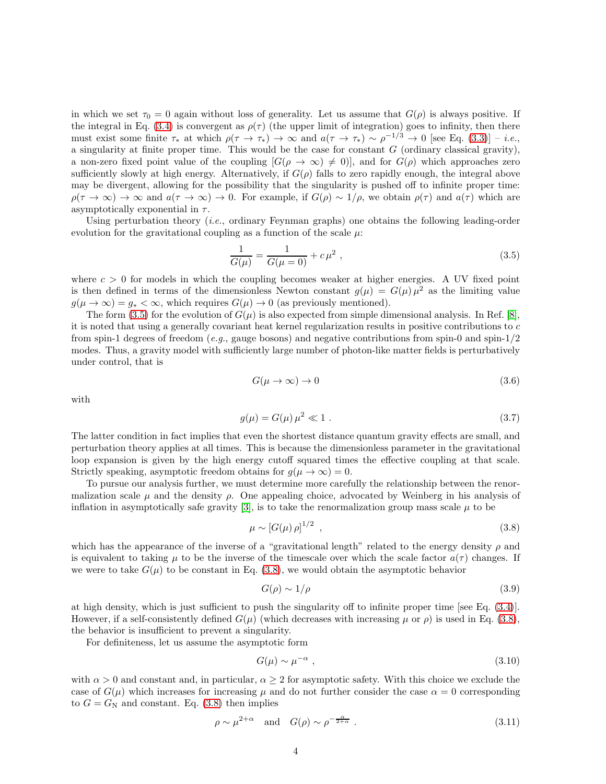in which we set  $\tau_0 = 0$  again without loss of generality. Let us assume that  $G(\rho)$  is always positive. If the integral in Eq. [\(3.4\)](#page-2-3) is convergent as  $\rho(\tau)$  (the upper limit of integration) goes to infinity, then there must exist some finite  $\tau_*$  at which  $\rho(\tau \to \tau_*) \to \infty$  and  $a(\tau \to \tau_*) \sim \rho^{-1/3} \to 0$  [see Eq. [\(3.3\)](#page-2-1)] – *i.e.*, a singularity at finite proper time. This would be the case for constant  $G$  (ordinary classical gravity), a non-zero fixed point value of the coupling  $[G(\rho \to \infty) \neq 0)]$ , and for  $G(\rho)$  which approaches zero sufficiently slowly at high energy. Alternatively, if  $G(\rho)$  falls to zero rapidly enough, the integral above may be divergent, allowing for the possibility that the singularity is pushed off to infinite proper time:  $\rho(\tau \to \infty) \to \infty$  and  $a(\tau \to \infty) \to 0$ . For example, if  $G(\rho) \sim 1/\rho$ , we obtain  $\rho(\tau)$  and  $a(\tau)$  which are asymptotically exponential in  $\tau$ .

Using perturbation theory (*i.e.*, ordinary Feynman graphs) one obtains the following leading-order evolution for the gravitational coupling as a function of the scale  $\mu$ .

<span id="page-3-0"></span>
$$
\frac{1}{G(\mu)} = \frac{1}{G(\mu = 0)} + c\,\mu^2 \,,\tag{3.5}
$$

where  $c > 0$  for models in which the coupling becomes weaker at higher energies. A UV fixed point is then defined in terms of the dimensionless Newton constant  $g(\mu) = G(\mu)\mu^2$  as the limiting value  $g(\mu \to \infty) = g_* < \infty$ , which requires  $G(\mu) \to 0$  (as previously mentioned).

The form [\(3.5\)](#page-3-0) for the evolution of  $G(\mu)$  is also expected from simple dimensional analysis. In Ref. [\[8\]](#page-5-3), it is noted that using a generally covariant heat kernel regularization results in positive contributions to c from spin-1 degrees of freedom (*e.g.*, gauge bosons) and negative contributions from spin-0 and spin-1/2 modes. Thus, a gravity model with sufficiently large number of photon-like matter fields is perturbatively under control, that is

$$
G(\mu \to \infty) \to 0 \tag{3.6}
$$

with

<span id="page-3-2"></span>
$$
g(\mu) = G(\mu)\,\mu^2 \ll 1\,. \tag{3.7}
$$

The latter condition in fact implies that even the shortest distance quantum gravity effects are small, and perturbation theory applies at all times. This is because the dimensionless parameter in the gravitational loop expansion is given by the high energy cutoff squared times the effective coupling at that scale. Strictly speaking, asymptotic freedom obtains for  $g(\mu \to \infty) = 0$ .

To pursue our analysis further, we must determine more carefully the relationship between the renormalization scale  $\mu$  and the density  $\rho$ . One appealing choice, advocated by Weinberg in his analysis of inflation in asymptotically safe gravity [\[3\]](#page-4-2), is to take the renormalization group mass scale  $\mu$  to be

<span id="page-3-1"></span>
$$
\mu \sim [G(\mu)\,\rho]^{1/2} \tag{3.8}
$$

which has the appearance of the inverse of a "gravitational length" related to the energy density  $\rho$  and is equivalent to taking  $\mu$  to be the inverse of the timescale over which the scale factor  $a(\tau)$  changes. If we were to take  $G(\mu)$  to be constant in Eq. [\(3.8\)](#page-3-1), we would obtain the asymptotic behavior

$$
G(\rho) \sim 1/\rho \tag{3.9}
$$

at high density, which is just sufficient to push the singularity off to infinite proper time [see Eq. [\(3.4\)](#page-2-3)]. However, if a self-consistently defined  $G(\mu)$  (which decreases with increasing  $\mu$  or  $\rho$ ) is used in Eq. [\(3.8\)](#page-3-1), the behavior is insufficient to prevent a singularity.

For definiteness, let us assume the asymptotic form

$$
G(\mu) \sim \mu^{-\alpha} \tag{3.10}
$$

with  $\alpha > 0$  and constant and, in particular,  $\alpha \geq 2$  for asymptotic safety. With this choice we exclude the case of  $G(\mu)$  which increases for increasing  $\mu$  and do not further consider the case  $\alpha = 0$  corresponding to  $G = G_N$  and constant. Eq. [\(3.8\)](#page-3-1) then implies

$$
\rho \sim \mu^{2+\alpha} \quad \text{and} \quad G(\rho) \sim \rho^{-\frac{\alpha}{2+\alpha}} \ . \tag{3.11}
$$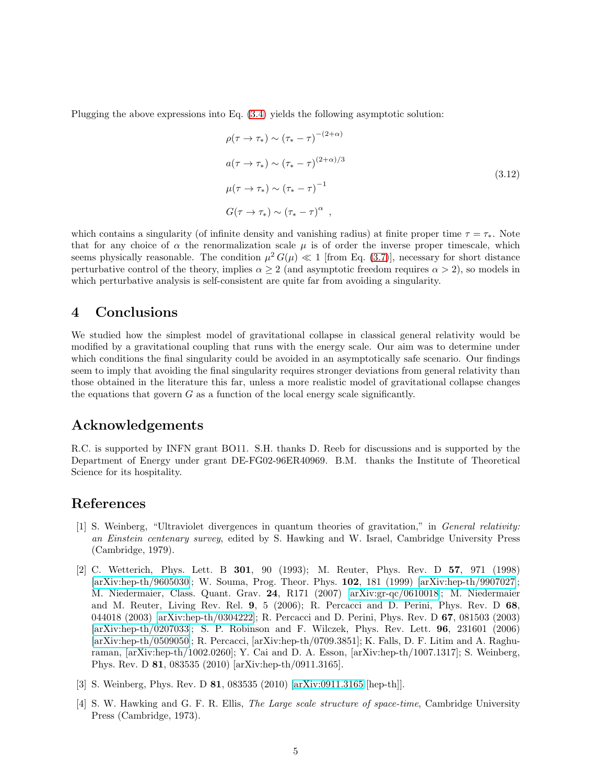Plugging the above expressions into Eq. [\(3.4\)](#page-2-3) yields the following asymptotic solution:

$$
\rho(\tau \to \tau_*) \sim (\tau_* - \tau)^{-(2+\alpha)}
$$
  
\n
$$
a(\tau \to \tau_*) \sim (\tau_* - \tau)^{(2+\alpha)/3}
$$
  
\n
$$
\mu(\tau \to \tau_*) \sim (\tau_* - \tau)^{-1}
$$
  
\n
$$
G(\tau \to \tau_*) \sim (\tau_* - \tau)^{\alpha},
$$
\n(3.12)

which contains a singularity (of infinite density and vanishing radius) at finite proper time  $\tau = \tau_*$ . Note that for any choice of  $\alpha$  the renormalization scale  $\mu$  is of order the inverse proper timescale, which seems physically reasonable. The condition  $\mu^2 G(\mu) \ll 1$  [from Eq. [\(3.7\)](#page-3-2)], necessary for short distance perturbative control of the theory, implies  $\alpha > 2$  (and asymptotic freedom requires  $\alpha > 2$ ), so models in which perturbative analysis is self-consistent are quite far from avoiding a singularity.

## 4 Conclusions

We studied how the simplest model of gravitational collapse in classical general relativity would be modified by a gravitational coupling that runs with the energy scale. Our aim was to determine under which conditions the final singularity could be avoided in an asymptotically safe scenario. Our findings seem to imply that avoiding the final singularity requires stronger deviations from general relativity than those obtained in the literature this far, unless a more realistic model of gravitational collapse changes the equations that govern  $G$  as a function of the local energy scale significantly.

### Acknowledgements

R.C. is supported by INFN grant BO11. S.H. thanks D. Reeb for discussions and is supported by the Department of Energy under grant DE-FG02-96ER40969. B.M. thanks the Institute of Theoretical Science for its hospitality.

# <span id="page-4-0"></span>References

- [1] S. Weinberg, "Ultraviolet divergences in quantum theories of gravitation," in *General relativity: an Einstein centenary survey*, edited by S. Hawking and W. Israel, Cambridge University Press (Cambridge, 1979).
- <span id="page-4-1"></span>[2] C. Wetterich, Phys. Lett. B 301, 90 (1993); M. Reuter, Phys. Rev. D 57, 971 (1998) [\[arXiv:hep-th/9605030\]](http://arxiv.org/abs/hep-th/9605030); W. Souma, Prog. Theor. Phys. 102, 181 (1999) [\[arXiv:hep-th/9907027\]](http://arxiv.org/abs/hep-th/9907027); M. Niedermaier, Class. Quant. Grav. 24, R171 (2007) [\[arXiv:gr-qc/0610018\]](http://arxiv.org/abs/gr-qc/0610018); M. Niedermaier and M. Reuter, Living Rev. Rel. 9, 5 (2006); R. Percacci and D. Perini, Phys. Rev. D 68, 044018 (2003) [\[arXiv:hep-th/0304222\]](http://arxiv.org/abs/hep-th/0304222); R. Percacci and D. Perini, Phys. Rev. D 67, 081503 (2003) [\[arXiv:hep-th/0207033\]](http://arxiv.org/abs/hep-th/0207033); S. P. Robinson and F. Wilczek, Phys. Rev. Lett. 96, 231601 (2006) [\[arXiv:hep-th/0509050\]](http://arxiv.org/abs/hep-th/0509050); R. Percacci, [arXiv:hep-th/0709.3851]; K. Falls, D. F. Litim and A. Raghuraman, [arXiv:hep-th/1002.0260]; Y. Cai and D. A. Esson, [arXiv:hep-th/1007.1317]; S. Weinberg, Phys. Rev. D 81, 083535 (2010) [arXiv:hep-th/0911.3165].
- <span id="page-4-3"></span><span id="page-4-2"></span>[3] S. Weinberg, Phys. Rev. D 81, 083535 (2010) [\[arXiv:0911.3165](http://arxiv.org/abs/0911.3165) [hep-th]].
- [4] S. W. Hawking and G. F. R. Ellis, *The Large scale structure of space-time*, Cambridge University Press (Cambridge, 1973).